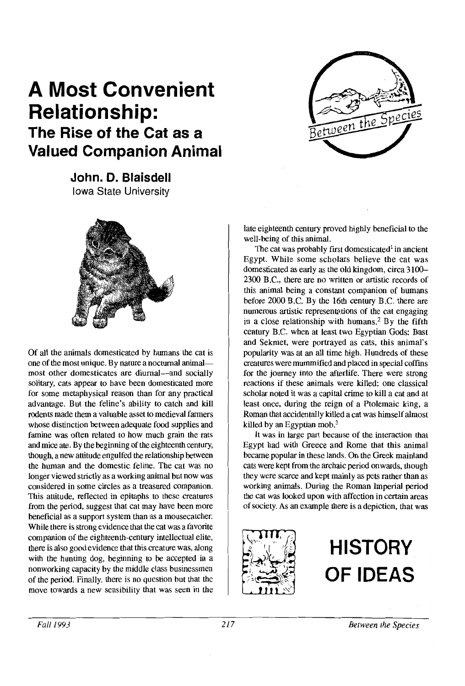

## **A Most Convenient Relationship: The Rise of the Cat as a Valued Companion Animal**

**John. D. Blaisdell**  Iowa State University



Of aU the animals domesticated by humans the cat is one of the most unique. By nature a nocturnal animalmost other domesticates are diurnal—and socially solitary, cats appear to have been domesticated more for some metaphysical reason than for any practical advantage. But the feline's ability to catch and kill rodents made them a valuable asset to medieval farmers whose distinction between adequate food supplies and famine was often related to how much grain the rats and mice ate. By the beginning of the eighteenth century, though, a new attitude engulfed the relationship between the human and the domestic. feline. The cat was no longer viewed strictly as a working animal but now was considered in some circles as a treasured companion. This attitude, reflected in epitaphs to these creatures from the period, suggest that cat may have been more beneficial as a support system than as a mousecatcher. While there is strong evidence that the cat was a favorite companion of the eighteenth-century intellectual elite, there is also good evidence that this creature was, along with the hunting dog, beginning to be accepted in a nonworking capacity by the middle class businessmen of the period. Finally, there is no question but that the move towards a new sensibility that was seen in the late eighteenth century proved highly beneficial to the well-being of this animal.

The cat was probably first domesticated<sup>1</sup> in ancient Egypt. While some scholars believe the cat was domesticated as early as the old kingdom, circa 3100- 2300 B.C., there are no written or artistic records of this animal being a constant companion of humans before 2000 B.C. By the 16th century B.C. there are numerous artistic representations of the cat engaging in a close relationship with humans.<sup>2</sup> By the fifth century B.C. when at least two Egyptian Gods: Bast and Sekmet, were portrayed as cats, this animal's popularity was at an all time high. Hundreds of these creatures were mummified and placed in special coffins for the journey into the afterlife. There were strong reactions if these animals were killed; one classical scholar noted it was a capital crime to kill a cat and at least once, during the reign of a Ptolemaic king, a Roman that accidentally killed a cat was himself almost killed by an Egyptian mob. $3$ 

It was in large part because of the interaction that Egypt had with Greece and Rome that this animal became popular in these lands. On the Greek mainland cats were kept from the archaic period onwards, though they were scarce and kept mainly as pets rather than as working animals. During the Roman Imperial period the cat was looked upon with affection in certain areas of society. As an example there is a depiction, that was



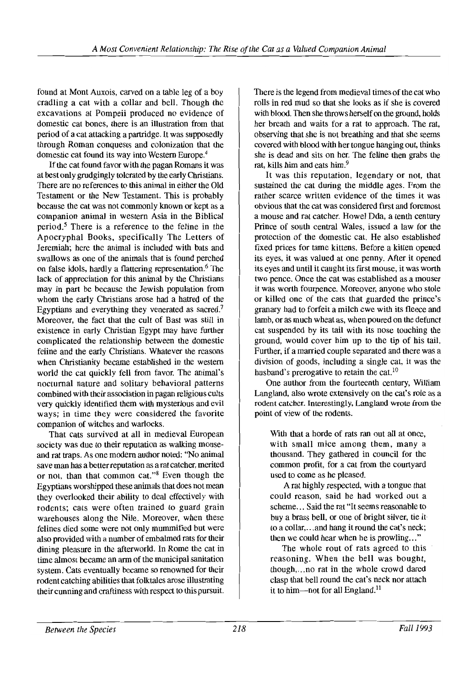found at Mont Auxois, carved on a table leg of a boy cradling a cat with a collar and bell. Though the excavations at Pompeii produced no evidence of domestic cat bones, there is an illustration from that period of a cat attacking a partridge. It was supposedly through Roman conquests and colonization that the domestic cat found its way into Western Europe.4

If the cat found favor with the pagan Romans it was at best only grudgingly tolerated by the early Christians. There are no references to this animal in either the Old Testament or the New Testament. This is probably because the cat was not commonly known or kept as a companion animal in western Asia in the Biblical period.<sup>5</sup> There is a reference to the feline in the Apocryphal Books, specifically The Letters of Jeremiah; here the animal is included with bats and swallows as one of the animals that is found perched on false idols, hardly a flattering representation.<sup>6</sup> The lack of appreciation for this animal by the Christians may in part be because the Jewish population from whom the early Christians arose had a hatred of the Egyptians and everything they venerated as sacred.? Moreover, the fact that the cult of Bast was still in existence in early Christian Egypt may have further complicated the relationship between the domestic feline and the early Christians. Whatever the reasons when Christianity became established in the western world the cat quickly fell from favor. The animal's nocturnal nature and solitary behavioral patterns combined with their association in pagan religious cults very quickly identified them with mysterious and evil ways; in time they were considered the favorite companion of witches and warlocks.

That cats survived at all in medieval European society was due to their reputation as walking mouseand rat traps. As one modern author noted: "No animal save man has a better reputation as a rat catcher, merited or not, than that common cat."<sup>8</sup> Even though the Egyptians worshipped these animals that does not mean they overlooked their ability to deal effectively with rodents; cats were often trained to guard grain warehouses along the Nile. Moreover, when these felines died some were not only mummified but were also provided with a number of embalmed rats for their dining pleasure in the afterworld. In Rome the cat in time almost became an arm of the municipal sanitation system. Cats eventually became so renowned for their rodent catching abilities that folktales arose illustrating their cunning and craftiness with respect to this pursuit.

There is the legend from medieval times of the cat who rolls in red mud so that she looks as if she is covered with blood. Then she throws herself on the ground, holds her breath and waits for a rat to approach. The rat, observing that she is not breathing and that she seems covered with blood with her tongue hanging out, thinks she is dead and sits on her. The feline then grabs the rat, kills him and eats him.<sup>9</sup>

It was this reputation, legendary or not, that sustained the cat during the middle ages. From the rather scarce written evidence of the times it was obvious that the cat was considered first and foremost a mouse and rat catcher. Howel Dda, a tenth century Prince of south central Wales, issued a law for the protection of the domestic cat. He also established fixed prices for tame kittens. Before a kitten opened its eyes, it was valued at one penny. Mter it opened its eyes and until it caught its first mouse, it was worth two pence. Once the cat was established as a mouser it was worth fourpence. Moreover, anyone who stole or killed one of the cats that guarded the prince's granary had to forfeit a milch ewe with its fleece and lamb, or as much wheat as, when poured on the defunct cat suspended by its tail with its nose touching the ground, would cover him up to the tip of his tail. Further, if a married couple separated and there was a division of goods, including a single cat, it was the husband's prerogative to retain the cat. $10$ 

One author from the fourteenth century, William Langland, also wrote extensively on the cat's role as a rodent catcher. Interestingly, Langland wrote from the point of view of the rodents.

With that a horde of rats ran out all at once, with small mice among them, many a thousand. They gathered in council for the common profit, for a cat from the courtyard used to come as be pleased.

A rat highly respected, with a tongue that could reason, said he had worked out a scheme... Said the rat "It seems reasonable to buy a brass bell, or one of bright silver, tie it to a collar, ... and hang it round the cat's neck; then we could bear when he is prowling... "

The whole rout of rats agreed to this reasoning. When the bell was bought, though, ... no rat in the wbole crowd dared clasp that bell round the eat's neck nor attach it to him—not for all England.<sup>11</sup>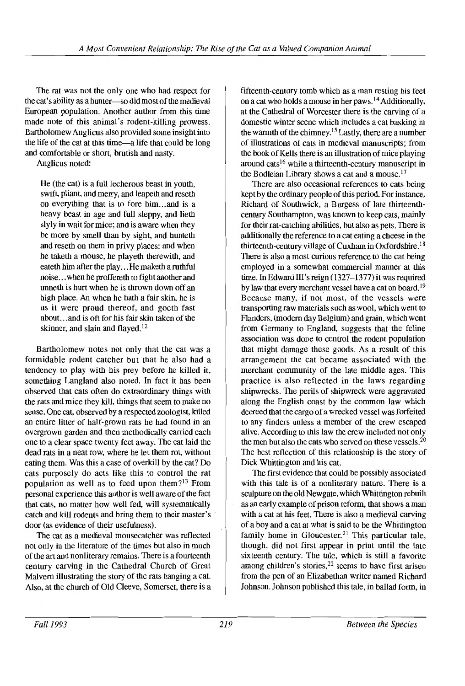The rat was not the only one who had respect for the cat's ability as a hunter-so did most of the medieval European population. Another author from this time made note of this animal's rodent-killing prowess. Bartholomew Anglicus also provided some insight into the life of the cat at this time-a life that could be long and comfortable or short, brutish and nasty.

Anglicus noted:

He (the cat) is a full lecherous beast in youth, swift, pliant, and merry, and leapeth and reseth on everything that is to fore him... and is a heavy beast in age and full sleppy, and lieth slyly in wait for mice; and is aware when they be more by smell than by sight, and hunteth and reseth on them in privy places: and when he taketh a mouse, he playeth therewith, and eateth him after the play...He maketh a ruthful noise...when he proffereth to fight another and unneth is hurt when he is thrown down off an high place. An when he hath a fair skin, he is as it were proud thereof, and goeth fast about. ..and is oft for his fair skin taken of the skinner, and slain and flayed.<sup>12</sup>

Bartholomew notes not only that the cat was a formidable rodent catcher but that he also had a tendency to play with his prey before he killed it, something Langland also noted. In fact it has been observed that cats often do extraordinary things with the rats and mice they kill, things that seem to make no sense. One cat, observed by a respected zoologist, killed an entire litter of half-grown rats he had found in an overgrown garden and then methodically carried each one to a clear space twenty feet away. The cat laid the dead rats in a neat row, where he let them rot, without eating them. Was this a case of overkill by the cat? Do cats purposely do acts like this to control the rat population as well as to feed upon them? $13$  From personal experience this author is well aware of the fact that cats, no matter how well fed, will systematically catch and kill rodents and bring them to their master's door (as evidence of their usefulness).

The cat as a medieval mousecatcher was reflected not only in the literature of the times but also in much of the art and nonliterary remains. There is a fourteenth century carving in the Cathedral Church of Great Malvern illustrating the story of the rats hanging a cat. Also, at the church of Old Cleeve, Somerset, there is a

fifteenth-century tomb which as a man resting his feet on a cat who holds a mouse in her paws. 14 Additionally, at the Cathedral of Worcester there is the carving of a domestic winter scene which includes a cat basking in the warmth of the chimney.<sup>15</sup> Lastly, there are a number of illustrations of cats in medieval manuscripts; from the book of Kells there is an illustration of mice playing around cats<sup>16</sup> while a thirteenth-century manuscript in the Bodleian Library shows a cat and a mouse.<sup>17</sup>

There are also occasional references to cats being kept by the ordinary people of this period. For instance, Richard of Southwick, a Burgess of late thirteenthcentury Southampton, was known to keep cats, mainly for their rat-catching abilities, but also as pets. There is additionally the reference to a cat eating a cheese in the thirteenth-century village of Cuxham in Oxfordshire.<sup>18</sup> There is also a most curious reference to the cat being employed in a somewhat commercial manner at this time. In Edward III's reign (1327–1377) it was required by law that every merchant vessel have a cat on board.<sup>19</sup> Because many, if not most, of the vessels were transporting raw materials such as wool, which went to Flanders, (modem day Belgium) and grain, which went from Germany to England, suggests that the feline association was done to control the rodent population that might damage these goods. As a result of this arrangement the cat became associated with the merchant community of the late middle ages. This practice is also reflected in the laws regarding shipwrecks. The perils of shipwreck were aggravated along the English coast by the common law which decreed that the cargo of a wrecked vessel was forfeited to any finders unless a member of the crew escaped alive. According to this law the crew included not only the men but also the cats who served on these vessels.<sup>20</sup> The best reflection of this relationship is the story of Dick Whittington and his cat.

The first evidence that could be possibly associated with this tale is of a nonliterary nature. There is a sculpture on the old Newgate, which Whittington rebuilt as an early example of prison reform, that shows a man with a cat at his feet. There is also a medieval carving of a boy and a cat at what is said to be the Whittington family home in Gloucester.<sup>21</sup> This particular tale, though, did not first appear in print until the late sixteenth century. The tale, which is still a favorite among children's stories,  $2^2$  seems to have first arisen from the pen of an Elizabethan writer named Richard Johnson. Johnson published this tale, in ballad form, in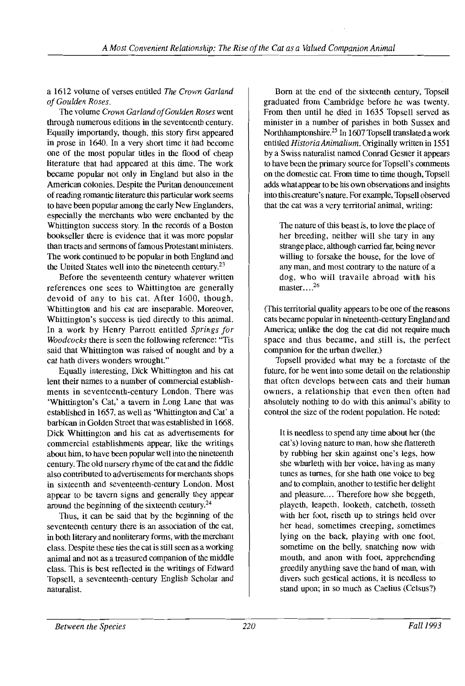a 1612 volume of verses entitled *The Crown Garland of Goulden Roses.* 

The volume *Crown Garland ofGoulden Roses* went through numerous editions in the seventeenth century. Equally importantly, though, this story first appeared in prose in 1640. In a very short time it had become one of the most popular titles in the flood of cheap literature that had appeared at this time. The work became popular not only in England but also in the American colonies. Despite the Puritan denouncement ofreading romantic literature this particular work seems to have been popular among the early New Englanders, especially the merchants who were enchanted by the Whittington success story. In the records of a Boston bookseller there is evidence that it was more popular than tracts and sermons of famous Protestant ministers. The work continued to be popular in both England and the United States well into the nineteenth century.<sup>23</sup>

Before the seventeenth century whatever written references one sees to Whittington are generally devoid of any to his cat. After 1600, though, Whittington and his cat are inseparable. Moreover, Whittington's success is tied directly to this animal. In a work by Henry Parrott entitled *Springs for Woodcocks* there is seen the following reference: "Tis said that Whittington was raised of nought and by a cat hath divers wonders wrought."

Equally interesting, Dick Whittington and his cat lent their names to a number of commercial establishments in seventeenth-century London. There was 'Whittington's Cat,' a tavern in Long Lane that was established in 1657, as well as 'Whittington and Cat' a barbican in Golden Street that was established in 1668. Dick Whittington and his cat as advertisements for commercial establishments appear, like the writings about him, to have been popular well into the nineteenth century. The old nursery rhyme of the cat and the fiddle also contributed to advertisements for merchants shops in sixteenth and seventeenth-century London. Most appear to be tavern signs and generally they appear around the beginning of the sixteenth century.24

Thus, it can be said that by the beginning of the seventeenth century there is an association of the cat, in both literary and nonliterary forms, with the merchant class. Despite these ties the cat is still seen as a working animal and not as a treasured companion of the middle class. This is best reflected in the writings of Edward Topsell, a seventeenth-century English Scholar and naturalist.

Born at the end of the sixteenth century, Topsell graduated from Cambridge before he was twenty. From then until he died in 1635 Topsell served as minister in a number of parishes in both Sussex and Northhamptonshire.<sup>25</sup> In 1607 Topsell translated a work entitled *HistoriaAnimalium.* Originally written in 1551 by a Swiss naturalist named Conrad Gesner it appears to have been the primary source for Topsell's comments on the domestic cat. From time to time though, Topsell adds what appear to be his own observations and insights into this creature's nature. For example, Topsell observed that the cat was a very territorial animal, writing:

The nature of this beast is, to love the place of her breeding, neither will she tary in any strange place, although carried far, being never willing to forsake the house, for the love of any man, and most contrary to the nature of a dog, who will travaile abroad with his  $master...^{26}$ 

(This territorial quality appears to be one of the reasons cats became popular in nineteenth-century England and America; unlike the dog the cat did not require much space and thus became, and still is, the perfect companion for the urban dweller.)

Topsell provided what may be a foretaste of the future, for he went into some detail on the relationship that often develops between cats and their human owners, a relationship that even then often had absolutely nothing to do with this animal's ability to control the size of the rodent population. He noted:

It is needless to spend any time about her (the cat's) loving nature to man, how she flattereth by rubbing her skin against one's legs, how she whurleth with her voice, having as many tunes as turnes, for she hath one voice to beg and to complain, another to testifie her delight and pleasure.... Therefore how she beggeth, playeth, leapeth, looketh, catcheth, tosseth with her foot, riseth up to strings held over her head, sometimes creeping, sometimes lying on the back, playing with one foot, sometime on the belly, snatching now with mouth, and anon with foot, apprehending greedily anything save the hand of man, with divers such gestical actions, it is needless to stand upon; in so much as Caelius (Celsus?)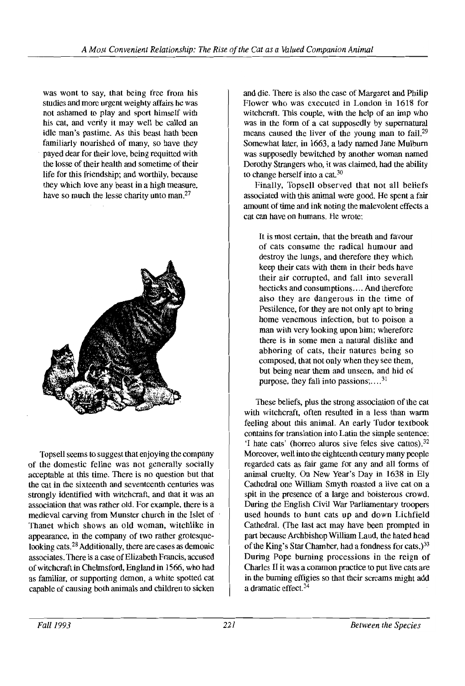was wont to say, that being free from his studies and more urgent weighty affairs he was not ashamed to play and sport himself with his cat, and verily it may well be called an idle man's pastime. As this beast hath been familiarly nourished of many, so have they payed dear for their love, being requitted with the losse of their health and sometime of their life for this friendship; and worthily, because they which love any beast in a high measure, have so much the lesse charity unto man.<sup>27</sup>



Topsell seems to suggest that enjoying the company of the domestic feline was not generally socially acceptable at this time. There is no question but that the cat in the sixteenth and seventeenth centuries was strongly identified with witchcraft, and that it was an association that was rather old. For example, there is a medieval carving from Munster church in the Islet of Thanet which shows an old woman, witchlike in appearance, in the company of two rather grotesquelooking cats.28 Additionally, there are cases as demonic associates. There is a case of Elizabeth Francis, accused of witchcraft in Chelmsford, England in 1566, who had as familiar, or supporting demon, a white spotted cat capable of causing both animals and children to sicken

and die. There is also the case of Margaret and Philip Flower who was executed in London in 1618 for witchcraft. This couple, with the help of an imp who was in the form of a cat supposedly by supernatural means caused the liver of the young man to fail.<sup>29</sup> Somewhat later, in 1663, a lady named Jane Mulburn was supposedly bewitched by another woman named Dorothy Strangers who, it was claimed, had the ability to change herself into a cat.30

Finally, Topsell observed that not all beliefs associated with this animal were good. He spent a fair amount of time and ink noting the malevolent effects a cat can have on humans. He wrote:

It is most certain, that the breath and favour of cats consume the radical humour and destroy the lungs, and therefore they which keep their cats with them in their beds have their air corrupted, and fall into severall hecticks and consumptions.... And therefore also they are dangerous in the time of Pestilence, for they are not only apt to bring home venemous infection, but to poison a man with very looking upon him; wherefore there is in some men a natural dislike and abhoring of cats, their natures being so composed, that not only when they see them, but being near them and unseen, and hid of purpose, they fall into passions; $\dots$ <sup>31</sup>

These beliefs, plus the strong association of the cat with witchcraft, often resulted in a less than warm feeling about this animal. An early Tudor textbook contains for translation into Latin the simple sentence: 'I hate cats' (horreo aluros sive feles sive cattos).<sup>32</sup> Moreover, well into the eighteenth century many people regarded cats as fair game for any and all forms of animal cruelty. On New Year's Day in 1638 in Ely Cathedral one William Smyth roasted a live cat on a spit in the presence of a large and boisterous crowd. During the English Civil War Parliamentary troopers used hounds to hunt cats up and down Lichfield Cathedral. (The last act may have been prompted in part because Archbishop William Laud, the hated head of the King's Star Chamber, had a fondness for cats.)<sup>33</sup> During Pope burning processions in the reign of Charles II it was a common practice to put live cats are in the burning effigies so that their screams might add a dramatic effect.34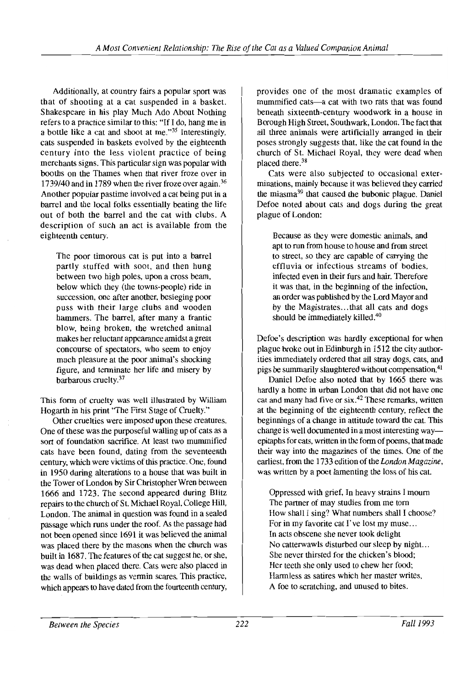Additionally, at country fairs a popular sport was that of shooting at a cat suspended in a basket. Shakespeare in his play Much Ado About Nothing refers to a practice similar to this: "If I do, hang me in a bottle like a cat and shoot at me."35 Interestingly, cats suspended in baskets evolved by the eighteenth century into the less violent practice of being merchants signs. This particular sign was popular with booths on the Thames when that river froze over in *1739/40* and in 1789 when the river froze over again. <sup>36</sup> Another popular pastime involved a cat being put in a barrel and the local folks essentially beating the life out of both the barrel and the cat with clubs. A description of such an act is available from the eighteenth century.

The poor timorous cat is put into a barrel partly stuffed with soot, and then hung between two high poles, upon a cross beam, below which they (the towns-people) ride in succession, one after another, besieging poor puss with their large clubs and wooden hammers. The barrel, after many a frantic blow, being broken, the wretched animal makes her reluctant appearance amidst a great concourse of spectators, who seem to enjoy much pleasure at the poor animal's shocking figure, and terminate her life and misery by barbarous cruelty.<sup>37</sup>

This form of cruelty was well illustrated by William Hogarth in his print "The First Stage of Cruelty."

Other cruelties were imposed upon these creatures. One of these was the purposeful walling up of cats as a sort of foundation sacrifice. At least two mummified cats have been found, dating from the seventeenth century, which were victims of this practice. One, found in 1950 during alterations to a house that was built in the Tower of London by Sir Christopher Wren between 1666 and 1723. The second appeared during Blitz repairs to the church of St. Michael Royal, College Hill, London. The animal in question was found in a sealed passage which runs under the roof. As the passage had not been opened since 1691 it was believed the animal was placed there by the masons when the church was built in 1687. The features of the cat suggest he, or she, was dead when placed there. Cats were also placed in the walls of buildings as vermin scares. This practice, which appears to have dated from the fourteenth century,

provides one of the most dramatic examples of mummified cats-a cat with two rats that was found beneath sixteenth-century woodwork in a house in Borough High Street, Southwark, London. The fact that all three animals were artificially arranged in their poses strongly suggests that, like the cat found in the church of St. Michael Royal, they were dead when placed there.<sup>38</sup>

Cats were also subjected to occasional exterminations, mainly because it was believed they carried the miasma<sup>39</sup> that caused the bubonic plague. Daniel Defoe noted about cats and dogs during the great plague of London:

Because as they were domestic animals, and apt to run from house to house and from street to street, so they are capable of carrying the effluvia or infectious streams of bodies, infected even in their furs and hair. Therefore it was that, in the beginning of the infection, an order was published by the Lord Mayor and by the Magistrates... that all cats and dogs should be immediately killed.<sup>40</sup>

Defoe's description was hardly exceptional for when plague broke out in Edinburgh in 1512 the city authorities immediately ordered that all stray dogs, cats, and pigs be summarily slaughtered without compensation.<sup>41</sup>

Daniel Defoe also noted that by 1665 there was hardly a home in urban London that did not have one cat and many had five or six.<sup>42</sup> These remarks, written at the beginning of the eighteenth century, reflect the beginnings of a change in attitude toward the cat. This change is well documented in a most interesting wayepitaphs for cats, written in the form of poems, that made their way into the magazines of the times. One of the earliest, from the 1733 edition of the *London Magazine,*  was written by a poet lamenting the loss of his cat.

Oppressed with grief, In heavy strains I mourn The partner of may studies from me tom How shall I sing? What numbers shall I choose? For in my favorite cat I've lost my muse... In acts obscene she never took delight No catterwawls disturbed our sleep by night. .. She never thirsted for the chicken's blood; Her teeth she only used to chew her food; Harmless as satires which her master writes, A foe to scratching, and unused to bites.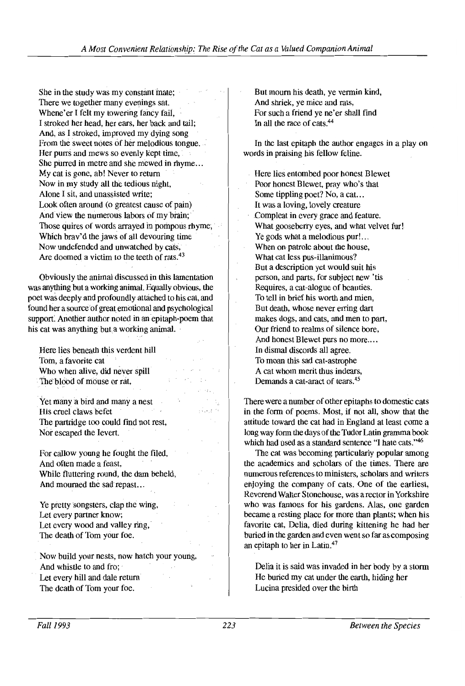She in the study was my constant mate: There we together many evenings sat. Whene'er I felt my towering fancy fail. I stroked her head, her ears, her back and tail; And, as I stroked, improved my dying song From the sweet notes of her melodious tongue. Her purrs and mews so evenly kept time, She purred in metre and she mewed in rhyme... My cat is gone, ab! Never to return Now in my study all the tedious night, Alone I sit, and unassisted write; Look often around (0 greatest cause of pain) And view the numerous labors of my brain; Those quires of words arrayed in pompous rhyme; Which brav'd the jaws of all devouring time Now undefended and unwatched by cats, Are doomed a victim to the teeth of rats.<sup>43</sup>

Obviously the animal discussed in this lamentation was anything but a working animal. Equally obvious, the poet was deeply and profoundly attached to his cat, and found her a source of great emotional and psychological support: Another author noted in an epitaph-poem that his cat was anything but a working animal.

Here lies beneath this verdent hill Tom, a favorite cat. Who when alive, did never spill The blood of mouse or rat,

Yet many a bird and many a nest His cruel claws befet The partridge too could find not rest, Nor escaped the levert.

For callow young he fought the filed, And often made a feast, While fluttering round, the dam beheld, And mourned the sad repast. ..

Ye pretty songsters, clap the wing, Let every partner know; Let every wood and valley ring, The death of Tom your foe.

Now build your nests, now hatch your young, And whistle to and fro; Let every hill and dale return The death of Tom your foe.

But mourn his death, ye vermin kind, And shriek, ye mice and rats, For such a friend ye ne'er shall find In all the race of cats.<sup>44</sup>

In the last epitaph the author engages in a play on words in praising his fellow feline.

Here lies entombed poor honest Blewet Poor honest Blewet, pray who's that Some tippling poet? No, a cat. .. It was a loving, lovely creature Compleat in every grace and feature. What gooseberry eyes, and what velvet fur! Ye gods what a melodious pur!... When on patrole about the house, What cat less pus-illanimous? But a description yet would suit his person, and parts, for subject new 'tis Requires, a cat-alogue of beauties. To tell in brief his worth and mien, But death, whose never erring dart makes dogs, and cats, and men to part, OUf friend to realms of silence bore, And honest Blewet purs no more.... In dismal discords all agree. To moan this sad cat-astrophe A cat whom merit thus indears, Demands a cat-aract of tears.45

There were anumber of other epitaphs to domestic cats in the form of poems. Most, if not all, show that the attitude toward the cat had in England at least come a long way form the days of the Tudor Latin gramma book which had used as a standard sentence "I hate cats."<sup>46</sup>

The cat was becoming particularly popular among the academics and scholars of the times. There are numerous references to ministers, scholars and writers enjoying the company of cats. One of the earliest, Reverend Walter Stonehouse, was a rector in Yorkshire who was famous for his gardens. Alas, one garden became a resting place for more than plants; when his favorite cat, Delia, died during kittening he had her buried in the garden and even went so far as composing an epitaph to her in Latin.<sup>47</sup>

Delia it is said was invaded in her body by a storm He buried my cat under the earth, hiding her Lucina presided over the birth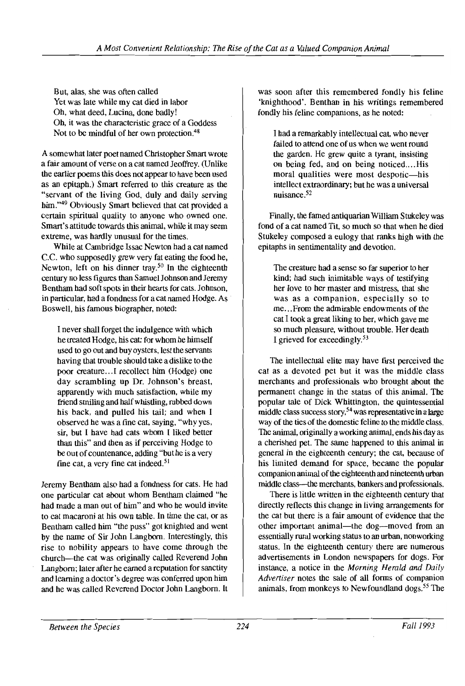But, alas, she was often called Yet was late while my cat died in labor Oh, what deed, Lucina, done badly! Oh, it was the characteristic grace of a Goddess Not to be mindful of her own protection.<sup>48</sup>

A somewhat later poet named Christopher Smart wrote a fair amount of verse on a cat named Jeoffrey. (Unlike the earlier poems this does not appear to have been used as an epitaph.) Smart referred to this creature as the "servant of the living God, duly and daily serving him."<sup>49</sup> Obviously Smart believed that cat provided a certain spiritual quality to anyone who owned one. Smart's attitude towards this animal, while it may seem extreme, was hardly unusual for the times.

While at Cambridge Issac Newton had a cat named C.C. who supposedly grew very fat eating the food he, Newton, left on his dinner tray.<sup>50</sup> In the eighteenth century no less figures than SamueIJohnson and Jeremy Bentham had soft spots in their hearts for cats. Johnson, in particular, had a fondness for a cat named Hodge. As Boswell, his famous biographer, noted:

I never shall forget the indulgence with which he treated Hodge, his cat: for whom he himself used to go out and buy oysters, lest the servants having that trouble should take a dislike to the poor creature.. .1 recollect him (Hodge) one day scrambling up Dr. Johnson's breast, apparently with much satisfaction, while my friend smiling and half whistling, rubbed down his back, and pulled his tail; and when I observed he was a fine cat. saying, "why yes. sir, but I have had cats whom I liked better than this" and then as if perceiving Hodge to be out of countenance, adding "but he is a very fine cat, a very fine cat indeed. $51$ 

Jeremy Bentham also had a fondness for cats. He had one particular cat about whom Bentham claimed "he had made a man out of him" and who he would invite to eat macaroni at his own table. In time the cat, or as Bentham called him "the puss" got knighted and went by the name of Sir John Langbom. Interestingly. this rise to nobility appears to have come through the church-the cat was originally called Reverend John Langbom; later after he earned a reputation for sanctity and learning a doctor's degree was conferred upon him and he was called Reverend Doctor John Langbom. It was soon after this remembered fondly his feline 'knighthood'. Benthan in his writings remembered fondly his feline companions, as he noted:

I had a remarkably intellectual cat, who never failed to attend one of us when we went round the garden. He grew quite a tyrant, insisting on being fed, and on being noticed....His moral qualities were most despotic—his intellect extraordinary; but he was a universal nuisance.<sup>52</sup>

Finally, the famed antiquarian William Stukeley was fond of a cat named Tit, so much so that when he died Stukeley composed a eulogy that ranks high with the epitaphs in sentimentality and devotion.

The creature had a sense so far superior to her kind; had such inimitable ways of testifying her love to her master and mistress, that she was as a companion, especially so to me...From the admirable endowments of the cat I took a great liking to her, which gave me so much pleasure, without trouble. Her death I grieved for exceedingly.53

The intellectual elite may have first perceived the cat as a devoted pet but it was the middle class merchants and professionals who brought about the permanent change in the status of this animal. The popular tale of Dick Whittington, the quintessential middle class success story, $54$  was representative in a large way of the ties of the domestic feline to the middle class. The animal, originally a working animal, ends his day as a cherished pet. The same happened to this animal in general in the eighteenth century; the cat, because of his limited demand for space, became the popular companion animal of the eighteenth and nineteenth urban middle class----the merchants, bankers and professionals.

There is little written in the eighteenth century that directly reflects this change in living arrangements for the cat but there is a fair amount of evidence that the other important animal-the dog--moved from an essentially rural working status to an urban, nonworking status. In the eighteenth century there are numerous advertisements in London newspapers for dogs. For instance, a notice in the *Morning Herald and Daily Advertiser* notes the sale of all forms of companion animals, from monkeys to Newfoundland dogs.<sup>55</sup> The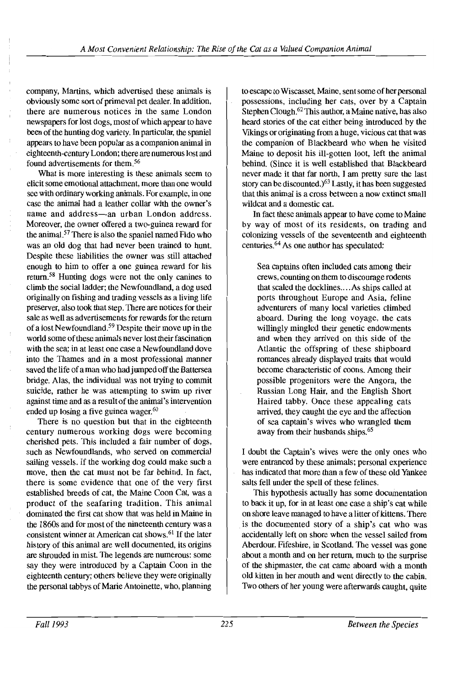company, Martins, which advertised these animals is obviously some sort of primeval pet dealer. In addition, there are numerous notices in the same London newspapers for lost dogs, most of which appear to have been of the hunting dog variety. In particular, the spaniel appears to have been popular as a companion animal in eighteenth-century London; there are numerous lost and found advertisements for them.56

What is more interesting is these animals seem to elicit some emotional attachment, more than one would see with ordinary working animals. For example, in one case the animal had a leather collar with the owner's name and address-an urban London address. Moreover, the owner offered a two-guinea reward for the animal.57 There is also the spaniel named Fido who was an old dog that had never been trained to hunt. Despite these liabilities the owner was still attached enough to him to offer a one guinea reward for his return.58 Hunting dogs were not the only canines to climb the social ladder; the Newfoundland, a dog used originally on fishing and trading vessels as a living life preserver, also took that step. There are notices for their sale as well as advertisements for rewards for the return of a lost Newfoundland.59 Despite their move up in the world some of these animals never lost their fascination with the sea; in at least one case a Newfoundland dove into the Thames and in a most professional manner saved the life of a man who had jumped off the Battersea bridge. Alas, the individual was not trying to commit suicide, rather he was attempting to swim up river against time and as a result of the animal's intervention ended up losing a five guinea wager.<sup>60</sup>

There is no question but that in the eighteenth century numerous working dogs were becoming cherished pets. This included a fair number of dogs, such as Newfoundlands, who served on commercial sailing vessels. If the working dog could make such a move, then the cat must not be far behind. In fact, there is some evidence that one of the very first established breeds of cat, the Maine Coon Cat, was a product of the seafaring tradition. This animal dominated the first cat show that was held in Maine in the 1860s and for most of the nineteenth century was a consistent winner at American cat shows.  $61$  If the later history of this animal are well documented, its origins are shrouded in mist. The legends are numerous: some say they were introduced by a Captain Coon in the eighteenth century; others believe they were originally the personal tabbys of Marie Antoinette, who, planning

to escape to Wiscasset, Maine, sent some of her personal possessions, including her cats, over by a Captain Stephen Clough.<sup>62</sup> This author, a Maine native, has also heard stories of the cat either being introduced by the Vikings or originating from a huge, vicious cat that was the companion of Blackbeard who when he visited Maine to deposit his ill-gotten loot, left the animal behind. (Since it is well established that Blackbeard never made it that far north, I am pretty sure the last story can be discounted.)<sup>63</sup> Lastly, it has been suggested that this animal is a cross between a now extinct small wildcat and a domestic cat.

In fact these animals appear to have come to Maine by way of most of its residents, on trading and colonizing vessels of the seventeenth and eighteenth centuries.<sup>64</sup> As one author has speculated:

Sea captains often included cats among their crews, counting on them to discourage rodents that scaled the docklines....As ships called at ports throughout Europe and Asia, feline adventurers of many local varieties climbed aboard. During the long voyage, the cats willingly mingled their genetic endowments and when they arrived on this side of the Atlantic the offspring of these shipboard romances already displayed traits that would become characteristic of coons. Among their possible progenitors were the Angora, the Russian Long Hair, and the English Short Haired tabby. Once these appealing cats arrived, they caught the eye and the affection of sea captain's wives who wrangled them away from their husbands ships.<sup>65</sup>

I doubt the Captain's wives were the only ones who were entranced by these animals; personal experience has indicated that more than a few of these old Yankee salts fell under the spell of these felines.

This hypothesis actually has some documentation to back it up, for in at least one case a ship's cat while on shore leave managed to have a litter of kittens. There is the documented story of a ship's cat who was accidentally left on shore when the vessel sailed from Aberdour, Fifeshire, in Scotland. The vessel was gone about a month and on her return, much to the surprise of the shipmaster, the cat came aboard with a month old kitten in her mouth and went directly to the cabin. Two others of her young were afterwards caught, quite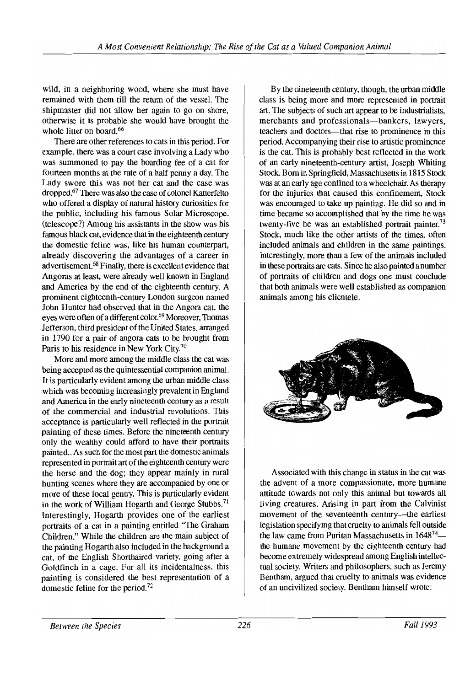wild, in a neighboring wood, where she must have remained with them till the return of the vessel. The shipmaster did not allow her again to go on shore, otherwise it is probable she would have brought the whole litter on board.<sup>66</sup>

There are other references to cats in this period. For example, there was a court case involving a Lady who was summoned to pay the boarding fee of a cat for fourteen months at the rate of a half penny a day. The Lady swore this was not her cat and the case was dropped.<sup>67</sup> There was also the case of colonel Katterfelto who offered a display of natural history curiosities for the public, including his famous Solar Microscope. (telescope?) Among his assistants in the show was his famous black cat, evidence that in the eighteenth century the domestic feline was, like his human counterpart, already discovering the advantages of a career in advertisement.68 Finally, there is excellent evidence that Angoras at least, were already well known in England and America by the end of the eighteenth century. A prominent eighteenth-century London surgeon named John Hunter had observed that in the Angora cat, the eyes were often of a different color.<sup>69</sup> Moreover, Thomas Jefferson, third president of the United States, arranged in 1790 for a pair of angora cats to be brought from Paris to his residence in New York City.7o

More and more among the middle class the cat was being accepted as the quintessential companion animal. It is particularly evident among the urban middle class which was becoming increasingly prevalent in England and America in the early nineteenth century as a result of the commercial and industrial revolutions. This acceptance is particularly well reflected in the portrait painting of these times. Before the nineteenth century only the wealthy could afford to have their portraits painted.. As such for the most part the domestic animals represented in portrait art of the eighteenth century were the horse and the dog; they appear mainly in rural hunting scenes where they are accompanied by one or more of these local gentry. This is particularly evident in the work of William Hogarth and George Stubbs.<sup>71</sup> Interestingly, Hogarth provides one of the earliest portraits of a cat in a painting entitled "The Graham Children." While the children are the main subject of the painting Hogarth also included in the background a cat, of the English Shorthaired variety, going after a Goldfinch in a cage. For all its incidentalness, this painting is considered the best representation of a domestic feline for the period.<sup>72</sup>

By the nineteenth century, though, the urban middle class is being more and more represented in portrait art. The subjects of such art appear to be industrialists, merchants and professionals-bankers, lawyers, teachers and doctors----that rise to prominence in this period. Accompanying their rise to artistic prominence is the cat. This is probably best reflected in the work of an early nineteenth-century artist, Joseph Whiting Stock. Born in Springfield, Massachusetts in 1815 Stock was at an early age confined to a wheelchair. As therapy for the injuries that caused this confinement, Stock was encouraged to take up painting. He did so and in time became so accomplished that by the time he was twenty-five he was an established portrait painter.<sup>73</sup> Stock, much like the other artists of the times, often included animals and children in the same paintings. Interestingly, more than a few of the animals included in these portraits are cats. Since he also painted a number of portraits of children and dogs one must conclude that both animals were well established as companion animals among his clientele.



Associated with this change in status in the cat was the advent of a more compassionate, more humane attitude tewards not only this animal but towards all living creatures. Arising in part from the Calvinist movement of the seventeenth century---the earliest legislation specifying that cruelty to animals fell outside the law came from Puritan Massachusetts in  $1648^{74}$  the humane movement by the eighteenth century had become extremely widespread among English intellectual society. Writers and philosophers, such as Jeremy Bentham, argued that cruelty to animals was evidence of an uncivilized society. Bentham himself wrote: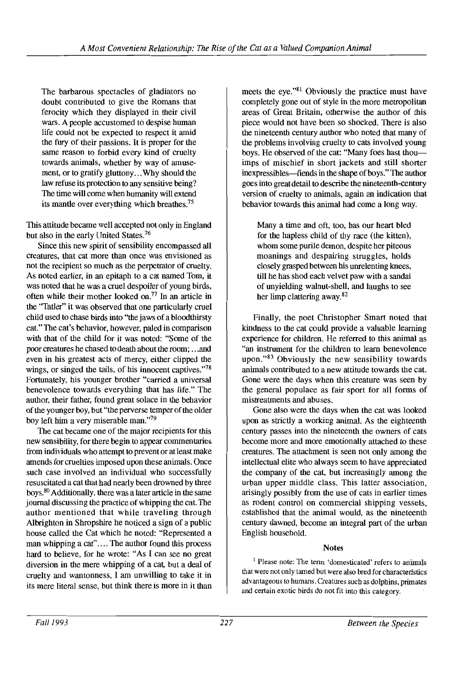Tbe barbarous spectacles of gladiators no doubt contributed to give the Romans that ferocity wbicb they displayed in their civil wars. A people accustomed to despise buman life could not be expected to respect it amid the fury of their passions. It is proper for the same reason to forbid every kind of cruelty towards animals, wbether by way of amuse ment, or to gratify gluttony...Wby sbould the law refuse its protection to any sensitive being? The time will come wben bumanity will extend its mantle over everything which breathes.<sup>75</sup>

This attitude became well accepted not only in England but also in the early United States.<sup>76</sup>

Since this new spirit of sensibility encompassed all creatures, that cat more than once was envisioned as not the recipient so mucb as the perpetrator of cruelty. As noted earlier, in an epitapb to a cat named Tom, it was noted that be was a cruel despoiler of young birds, often wbile their mother looked on.77 In an article in the "Tatler" it was observed that one particularly cruel cbild used to cbase birds into "the jaws of a bloodthirsty cat." The cat's bebavior, bowever, paled in comparison with that of the child for it was noted: "Some of the poor creatures be cbased to death about the room; ...and even in bis greatest acts of mercy, either clipped the wings, or singed the tails, of his innocent captives."<sup>78</sup> Fortunately, bis younger brother "carried a universal benevolence towards everything that bas life." Tbe author, their father, found great solace in the bebavior of the younger boy, but "the perverse temper of the older boy left him a very miserable man."79

The cat became one of the major recipients for this new sensibility, for there begin to appear commentaries from individuals wbo attempt to prevent or at least make amends for cruelties imposed upon these animals. Once such case involved an individual who successfully resuscitated a cat that bad nearly been drowned by three boys.80 Additionally, there was a later article in the same journal discussing the practice of whipping the cat. The autbor mentioned that while traveling through· Albrigbton in Sbropsbire be noticed a sign of a public house called the Cat which he noted: "Represented a man whipping a cat".... The author found this process bard to believe, for be wrote: "As I can see no great diversion in the mere wbipping of a cat, but a deal of cruelty and wantonness, I am unwilling to take it in its mere literal sense, but think there is more in it than

meets the eye."<sup>81</sup> Obviously the practice must have completely gone out of style in the more metropolitan areas of Great Britain, otherwise the author of this piece would not bave been so sbocked. There is also the nineteenth century author wbo noted that many of the problems involving cruelty to cats involved young boys. He observed of the cat: "Many foes hast thouimps of miscbief in sbort jackets and still shorter inexpressibles—fiends in the shape of boys." The author goes into great detail to describe the nineteenth-century version of cruelty to animals, again an indication that bebavior towards this animal bad come a long way.

Many a time and oft, too, has our heart bled for the bapless cbild of thy race (the kitten), wbom some purile demon, despite ber piteous moanings and despairing struggles, bolds closely grasped between bis unrelenting knees, till be bas sbod eacb velvet paw with a sandal of unyielding walnut-sbell, and laughs to see ber limp clattering away.82

Finally, the poet Cbristopber Smart noted that kindness to the cat could provide a valuable learning experience for cbildren. He referred to this animal as "an instrument for the children to learn benevolence upon." $83$  Obviously the new sensibility towards animals contributed to a new attitude towards the cat. Gone were the days wben this creature was seen by the general populace as fair sport for all forms of mistreatments and abuses.

Gone also were the days wben the cat was looked upon as strictly a working animal. As the eigbteenth century passes into the nineteenth the owners of cats become more and more emotionally attached to these creatures. The attacbment is seen not only among the intellectual elite wbo always seem to bave appreciated the company of the cat, but increasingly among the urban upper middle class. Tbis latter association, arisingly possibly from the use of cats in earlier times as rodent control on commercial shipping vessels, establisbed that the animal would, as the nineteenth century dawned, become an integral part of the urban Englisb bousehold.

## **Notes**

<sup>1</sup> Please note: The term 'domesticated' refers to animals that were not only tamed but were also bred for characteristics advantageous to humans. Creatures such as dolphins, primates and certain exotic birds do not fit into this category.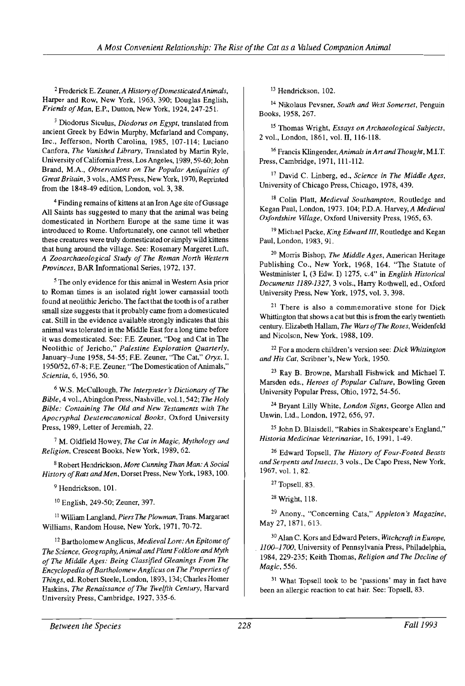2 Frederick E. Zeuner, *A History ofDomesticatedAnimals,*  Harper and Row, New York, 1963, 390; Douglas English, *Friends ofMan,* E.P., Dutton, New York, 1924,247-251.

3 Diodorus Siculus, *Diodorus on Egypt,* translated from ancient Greek by Edwin Murphy, Mcfarland and Company, Inc., Jefferson, North Carolina, 1985, 107-114; Luciano Canfora, *The Vanished Library,* Translated by Martin Ryle, University of California Press, Los Angeles, 1989, 59-60; John Brand, M.A., *Observations on The Popular Antiquities of Great Britain,* 3 vols., AMS Press, New York, 1970, Reprinted from the 1848-49 edition, London, vol. 3,38.

4 Finding remains of kittens at an Iron Age site ofGussage All Saints has suggested to many that the animal was being domesticated in Northern Europe at the same time it was introduced to Rome. Unfortunately, one cannot tell whether these creatures were truly domesticated or simply wild kittens that hung around the village. See: Rosemary Margeret Luft, *A Zooarchaeological Study of The Roman North Western Provinces,* BAR Informational Series, 1972, 137.

5 The only evidence for this animal in Western Asia prior to Roman times is an isolated right lower carnassial tooth found at neolithic Jericho. The fact that the tooth is of a rather small size suggests that it probably came from a domesticated cat. Still in the evidence available strongly indicates that this animal was tolerated in the Middle East for a long time before it was domesticated. See: F.E. Zeuner, "Dog and Cat in The Neolithic of Jericho," *Palestine Exploration Quarterly,*  January-June 1958,54-55; EE. Zeuner, "The Cat," *Oryx,* I, 1950/52, 67-8; F.E. Zeuner, "The Domestication of Animals," *Scientia,* 6, 1956, 50.

6 W.S. McCullough, *The Interpreter's Dictionary of The Bible,* 4 vol., Abingdon Press, Nashville, vol. 1, 542; *The Holy Bible: Containing The Old and New Testaments with The Apocryphal Deuterocanonical Books,* Oxford University Press, 1989, Letter of Jeremiah, 22.

7 M. Oldfield Howey, *The Cat in Magic, Mythology and Religion,* Crescent Books, New York, 1989,62.

8 Robert Hendrickson, *More Cunning Than Man: A Social History of Rats and Men, Dorset Press, New York, 1983, 100.* 

<sup>9</sup> Hendrickson, 101.

10 English, 249-50; Zeuner, 397.

<sup>11</sup> William Langland, *Piers The Plowman*, Trans. Margaraet Williams, Random House, New York, 1971, 70-72.

12 Bartholomew Anglicus, *Medieval Lore: An Epitome of The Science, Geography, Animal and Plant Folklore and Myth of The Middle Ages: Being Classified Gleanings From The Encyclopedia ofBartholomew Anglicus on The Properties of Things,* ed. Robert Steele, London, 1893, 134; Charles Homer Haskins, *The Renaissance of The Twelfth Century,* Harvard University Press, Cambridge, 1927,335-6.

13 Hendrickson, 102.

14 Nikolaus Pevsner, *South and West Somerset,* Penguin Books, 1958,267.

15 Thomas Wright, *Essays on Archaeological Subjects,*  2 vol., London, 1861, vol. IT, 116-118.

16 Francis Klingender,Animals *in Art and Thought,* M.IT. Press, Cambridge, 1971, 11l-1l2.

17 David C. Linberg, ed., *Science in The Middle Ages,*  University of Chicago Press, Chicago, 1978, 439.

18 Colin Platt, *Medieval Southampton,* Routledge and Kegan Paul, London, 1973. 104; P.D.A. Harvey, *A Medieval Oxfordshire Village,* Oxford University Press, 1965,63.

19 Michael Packe, *King Edward III,* Routledge and Kegan Paul, London, 1983, 91.

20 Morris Bishop, *The Middle Ages,* American Heritage Publishing Co., New York, 1968, 164. "The Statute of Westminister I, (3 Edw. I) 1275, *cA"* in *English Historical Documents* 1189-1327, 3 vols., Harry Rothwell, ed., Oxford University Press, New York, 1975, vol. 3, 398.

<sup>21</sup> There is also a commemorative stone for Dick Whittington that shows a cat but this is from the early twentieth century. Elizabeth Hallam, *The Wars ofThe Roses,* Weidenfeld and Nicolson, New York, 1988, 109.

22 For a modern children's version see: *Dick Whittington and His Cat,* Scribner's, New York, 1950.

23 Ray B. Browne, Marshall Fishwick and Michael T. Marsden eds., *Heroes of Popular Culture,* Bowling Green University Popular Press, Ohio, 1972, 54-56.

<sup>24</sup>Bryant Lilly White, *London Signs,* George Allen and Unwin, Ltd., London, 1972,656,97.

25 John D. Blaisdell, "Rabies in Shakespeare's England," *HistoriaMedicinae Veterinariae,* 16, 1991, 1-49.

26 Edward Topsell, *The History of Four-Footed Beasts and Serpents and Insects,* 3 vols., De Capo Press, New York, 1967, vol. 1,82.

27 Topsell, 83.

<sup>28</sup>Wright, 118.

29 Anony., "Concerning Cats," *Appleton's Magazine,*  May 27, 1871, 613.

30 Alan C. Kors and Edward Peters, *Witchcraft in Europe,*  . 1100-1700, University of Pennsylvania Press, Philadelphia, 1984, 229-235; Keith Thomas, *Religion and The Decline of Magic,* 556.

<sup>31</sup> What Topsell took to be 'passions' may in fact have been an allergic reaction to cat hair. See: Topsell, 83.

*Between the Species* 228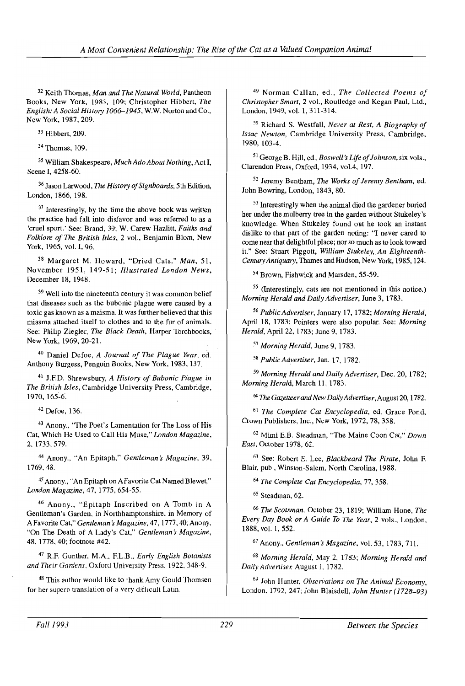32 Keith Thomas, *Man and The Natural World,* Pantheon Books, New York, 1983, 109; Christopher Hibbert, *The English: A Social History 1066-1945,* w.w. Norton and Co., New York, 1987,209.

33 Hibbert, 209.

34 Thomas, 109.

35 William Shakespeare, *Much Ado About Nothing,* Act **I,**  Scene I, 4258-60.

<sup>36</sup> Jason Larwood, *The History of Signboards*, 5th Edition, London, 1866, 198.

<sup>37</sup> Interestingly, by the time the above book was written the practice had fall into disfavor and was referred to as a 'cruel sport.' See: Brand, 39; W. Carew Hazlitt, *Faiths and Folklore of The British Isles,* 2 vol., Benjamin Blom, New York, 1965, vol. I, 96.

38 Margaret M. Howard, "Dried Cats," *Man,* 51, November 1951, 149-51; *Illustrated London News,*  December 18, 1948.

 $39$  Well into the nineteenth century it was common belief that diseases such as the bubonic plague were caused by a toxic gas known as a maisma. It was further believed that this miasma attached itself to clothes and to the fur of animals. See: Philip Ziegler, *The Black Death,* Harper Torchbooks, New York, 1969,20-21.

40 Daniel Defoe, *A Journal of The Plague Year,* ed. Anthony Burgess, Penguin Books, New York, 1983,137.

41 J.F.D. Shrewsbury, *A History of Bubonic Plague in The British Isles,* Cambridge University Press, Cambridge, 1970, 165-6.

42 Defoe, 136.

43 Anony., "The Poet's Lamentation for The Loss of His Cat, Which He Used to Call His Muse," *London Magazine,*  2,1733,579.

44 Anony., "An Epitaph," *Gentleman's Magazine, 39,*  1769,48.

45 Anony., "An Epitaph on A Favorite Cat Named Blewet," *London Magazine,* 47, 1775,654-55.

46 Anony., "Epitaph Inscribed on A Tomb in A Gentleman's Garden. in Northhamptonshire. in Memory of A Favorite Cat," *Gentleman* s*Magazine,* 47, 1777,40; Anony, "On The Death of A Lady's Cat." *Gentleman's Magazine,*  48. 1778. 40; footnote #42.

47 R.F. Gunther. M.A.. F.L.B.. *Early English Botanists and* Their *Gardens.* Oxford University Press. 1922.348-9.

48 This author would like to thank Amy Gould Thomsen for her superb translation of a very difficult Latin.

49 Norman Callan, ed., *The Collected Poems of Christopher Smart,* 2 vol., Routledge and Kegan Paul, Ltd., London, 1949, vol. 1, 311-314.

50 Richard S. Westfall, *Never at Rest, A Biography of Issac Newton,* Cambridge University Press, Cambridge, 1980, 103-4.

51 George B. Hill, ed., *Boswell's Life ofJohnson,* six vols., Clarendon Press, Oxford, 1934, vol.4, 197.

52 Jeremy Bentham, *The Works of Jeremy Bentham,* ed. John Bowring, London, 1843, 80.

53 Interestingly when the animal died the gardener buried her under the mulberry tree in the garden without Stukeley's knowledge. When Stukeley found out he took an instant dislike to that part of the garden noting: "I never cared to come near that delightful place; nor so much as to look toward it." See: Stuart Piggott, *William Stukeley, An Eighteenth-Century Antiquary,* Thames and Hudson, New York, 1985, 124.

54 Brown, Fishwick and Marsden, 55-59.

55 (Interestingly, cats are not mentioned in this notice.) *Morning Herald and Daily Advertiser,* June 3, 1783.

*56 Public Advertiser,* January 17, 1782; *Morning Herald,*  April 18, 1783; Pointers were also popular. See: *Morning Herald,* April 22, 1783; June 9, 1783.

*57 Morning Herald,* June 9, 1783.

*58 Public Advertiser,* Jan. 17, 1782.

*59 Morning Herald and Daily Advertiser,* Dec. 20, 1782; *Morning Herald,* March II, 1783.

60 The *GazetteerandNew DailyAdvertiser,* August 20, 1782.

<sup>61</sup>*The Complete Cat Encyclopedia,* ed. Grace Pond, Crown Publishers, Inc., New York, 1972,78,358.

62 Mimi E.B. Steadman, "The Maine Coon Cat," *Down East,* October 1978, 62.

63 See: Robert E. Lee, *Blackbeard The Pirate,* John F. Blair, pub., Winston-Salem, North Carolina, 1988.

*64 The Complete Cat Encyclopedia,* 77, 358.

65 Steadman. 62.

*66 The Scotsman,* October 23, 1819; William Hone, *The Every Day Book or A Guide To The Year,* 2 vols., London, 1888, vol. 1,552.

<sup>67</sup>Anony., *Gentleman's Magazine,* vol. 53,1783,711.

*68 Morning Herald,* May 2, 1783; *Morning Herald and Daily Advertiser.* August I, 1782.

69 John Hunter. *ObserVations on The Animal Economy,*  London, 1792, 247; John Blaisdell, *John Hunter (1728-93)*